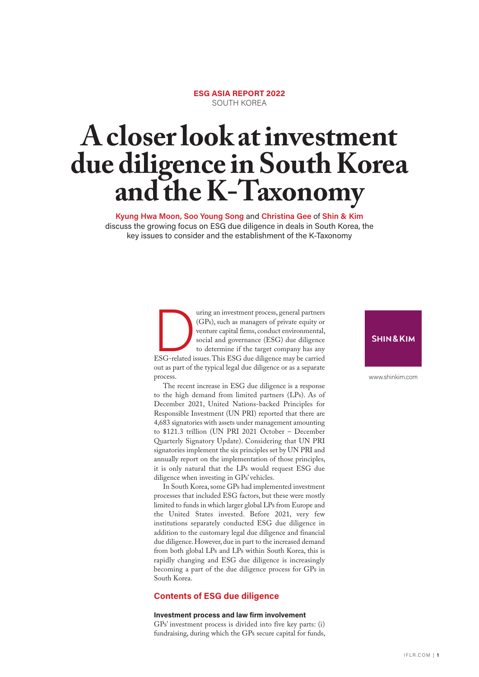### **ESG ASIA REPORT 2022** SOUTH KOREA

# **A closer look at investment due diligence in South Korea and the K-Taxonomy**

**Kyung Hwa Moon, Soo Young Song** and **Christina Gee** of **Shin & Kim** discuss the growing focus on ESG due diligence in deals in South Korea, the key issues to consider and the establishment of the K-Taxonomy

> The uring an investment process, general partners<br>
> (GPs), such as managers of private equity or<br>
> venture capital firms, conduct environmental,<br>
> social and governance (ESG) due diligence<br>
> to determine if the target company (GPs), such as managers of private equity or venture capital firms, conduct environmental, social and governance (ESG) due diligence to determine if the target company has any ESG-related issues. This ESG due diligence may be carried out as part of the typical legal due diligence or as a separate process.

> The recent increase in ESG due diligence is a response to the high demand from limited partners (LPs). As of December 2021, United Nations-backed Principles for Responsible Investment (UN PRI) reported that there are 4,683 signatories with assets under management amounting to \$121.3 trillion (UN PRI 2021 October – December Quarterly Signatory Update). Considering that UN PRI signatories implement the six principles set by UN PRI and annually report on the implementation of those principles, it is only natural that the LPs would request ESG due diligence when investing in GPs' vehicles.

> In South Korea, some GPs had implemented investment processes that included ESG factors, but these were mostly limited to funds in which larger global LPs from Europe and the United States invested. Before 2021, very few institutions separately conducted ESG due diligence in addition to the customary legal due diligence and financial due diligence. However, due in part to the increased demand from both global LPs and LPs within South Korea, this is rapidly changing and ESG due diligence is increasingly becoming a part of the due diligence process for GPs in South Korea.

#### **Contents of ESG due diligence**

#### **Investment process and law firm involvement**

GPs' investment process is divided into five key parts: (i) fundraising, during which the GPs secure capital for funds,

#### **SHIN&KIM**

www.shinkim.com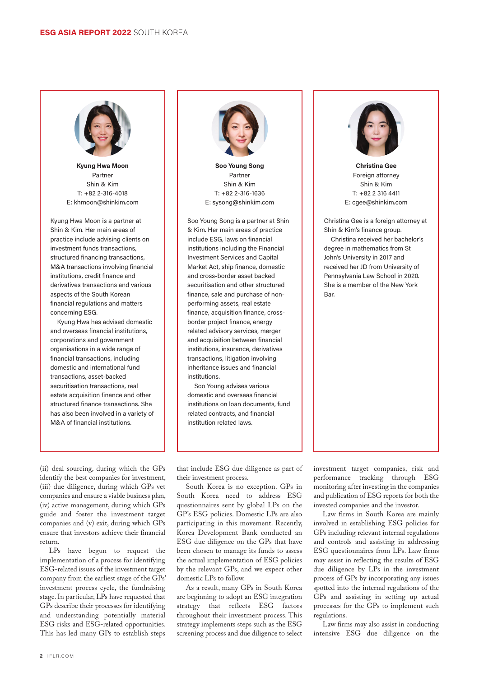

**Kyung Hwa Moon**  Partner Shin & Kim T: +82 2-316-4018 E: khmoon@shinkim.com

Kyung Hwa Moon is a partner at Shin & Kim. Her main areas of practice include advising clients on investment funds transactions, structured financing transactions, M&A transactions involving financial institutions, credit finance and derivatives transactions and various aspects of the South Korean financial regulations and matters concerning ESG.

Kyung Hwa has advised domestic and overseas financial institutions, corporations and government organisations in a wide range of financial transactions, including domestic and international fund transactions, asset-backed securitisation transactions, real estate acquisition finance and other structured finance transactions. She has also been involved in a variety of M&A of financial institutions.



**Soo Young Song** Partner Shin & Kim T: +82 2-316-1636 E: sysong@shinkim.com

Soo Young Song is a partner at Shin & Kim. Her main areas of practice include ESG, laws on financial institutions including the Financial Investment Services and Capital Market Act, ship finance, domestic and cross-border asset backed securitisation and other structured finance, sale and purchase of nonperforming assets, real estate finance, acquisition finance, crossborder project finance, energy related advisory services, merger and acquisition between financial institutions, insurance, derivatives transactions, litigation involving inheritance issues and financial institutions.

Soo Young advises various domestic and overseas financial institutions on loan documents, fund related contracts, and financial institution related laws.



**Christina Gee** Foreign attorney Shin & Kim T: +82 2 316 4411 E: cgee@shinkim.com

Christina Gee is a foreign attorney at Shin & Kim's finance group.

Christina received her bachelor's degree in mathematics from St John's University in 2017 and received her JD from University of Pennsylvania Law School in 2020. She is a member of the New York Bar.

(ii) deal sourcing, during which the GPs identify the best companies for investment, (iii) due diligence, during which GPs vet companies and ensure a viable business plan, (iv) active management, during which GPs guide and foster the investment target companies and (v) exit, during which GPs ensure that investors achieve their financial return.

LPs have begun to request the implementation of a process for identifying ESG-related issues of the investment target company from the earliest stage of the GPs' investment process cycle, the fundraising stage. In particular, LPs have requested that GPs describe their processes for identifying and understanding potentially material ESG risks and ESG-related opportunities. This has led many GPs to establish steps that include ESG due diligence as part of their investment process.

South Korea is no exception. GPs in South Korea need to address ESG questionnaires sent by global LPs on the GP's ESG policies. Domestic LPs are also participating in this movement. Recently, Korea Development Bank conducted an ESG due diligence on the GPs that have been chosen to manage its funds to assess the actual implementation of ESG policies by the relevant GPs, and we expect other domestic LPs to follow.

As a result, many GPs in South Korea are beginning to adopt an ESG integration strategy that reflects ESG factors throughout their investment process. This strategy implements steps such as the ESG screening process and due diligence to select investment target companies, risk and performance tracking through ESG monitoring after investing in the companies and publication of ESG reports for both the invested companies and the investor.

Law firms in South Korea are mainly involved in establishing ESG policies for GPs including relevant internal regulations and controls and assisting in addressing ESG questionnaires from LPs. Law firms may assist in reflecting the results of ESG due diligence by LPs in the investment process of GPs by incorporating any issues spotted into the internal regulations of the GPs and assisting in setting up actual processes for the GPs to implement such regulations.

Law firms may also assist in conducting intensive ESG due diligence on the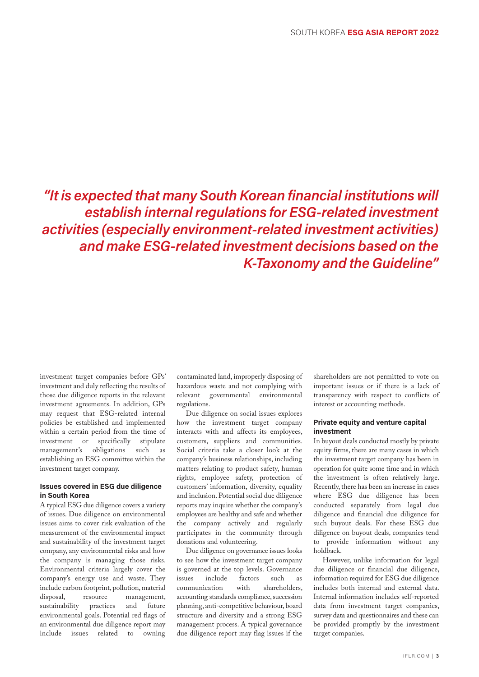# *"It is expected that many South Korean financial institutions will establish internal regulations for ESG-related investment activities (especially environment-related investment activities) and make ESG-related investment decisions based on the K-Taxonomy and the Guideline"*

investment target companies before GPs' investment and duly reflecting the results of those due diligence reports in the relevant investment agreements. In addition, GPs may request that ESG-related internal policies be established and implemented within a certain period from the time of investment or specifically stipulate management's obligations such as establishing an ESG committee within the investment target company.

#### **Issues covered in ESG due diligence in South Korea**

A typical ESG due diligence covers a variety of issues. Due diligence on environmental issues aims to cover risk evaluation of the measurement of the environmental impact and sustainability of the investment target company, any environmental risks and how the company is managing those risks. Environmental criteria largely cover the company's energy use and waste. They include carbon footprint, pollution, material disposal, resource management, sustainability practices and future environmental goals. Potential red flags of an environmental due diligence report may include issues related to owning

contaminated land, improperly disposing of hazardous waste and not complying with relevant governmental environmental regulations.

Due diligence on social issues explores how the investment target company interacts with and affects its employees, customers, suppliers and communities. Social criteria take a closer look at the company's business relationships, including matters relating to product safety, human rights, employee safety, protection of customers' information, diversity, equality and inclusion. Potential social due diligence reports may inquire whether the company's employees are healthy and safe and whether the company actively and regularly participates in the community through donations and volunteering.

Due diligence on governance issues looks to see how the investment target company is governed at the top levels. Governance issues include factors such as communication with shareholders, accounting standards compliance, succession planning, anti-competitive behaviour, board structure and diversity and a strong ESG management process. A typical governance due diligence report may flag issues if the shareholders are not permitted to vote on important issues or if there is a lack of transparency with respect to conflicts of interest or accounting methods.

#### **Private equity and venture capital investment**

In buyout deals conducted mostly by private equity firms, there are many cases in which the investment target company has been in operation for quite some time and in which the investment is often relatively large. Recently, there has been an increase in cases where ESG due diligence has been conducted separately from legal due diligence and financial due diligence for such buyout deals. For these ESG due diligence on buyout deals, companies tend to provide information without any holdback.

However, unlike information for legal due diligence or financial due diligence, information required for ESG due diligence includes both internal and external data. Internal information includes self-reported data from investment target companies, survey data and questionnaires and these can be provided promptly by the investment target companies.